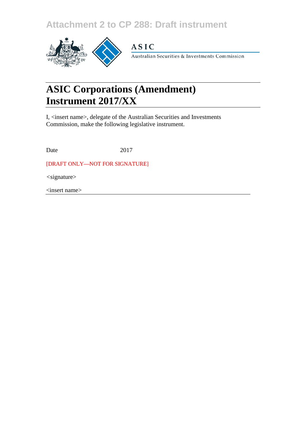**Attachment 2 to CP 288: Draft instrument**



## **ASIC**

Australian Securities & Investments Commission

# **ASIC Corporations (Amendment) Instrument 2017/XX**

I, <insert name>, delegate of the Australian Securities and Investments Commission, make the following legislative instrument.

Date 2017

[DRAFT ONLY—NOT FOR SIGNATURE]

*<*signature>

<insert name>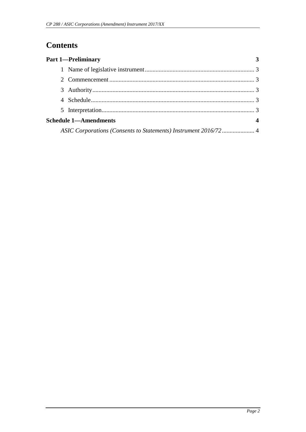## **Contents**

|                              | <b>Part 1-Preliminary</b> |  |
|------------------------------|---------------------------|--|
|                              |                           |  |
|                              |                           |  |
|                              |                           |  |
|                              |                           |  |
|                              |                           |  |
| <b>Schedule 1-Amendments</b> |                           |  |
|                              |                           |  |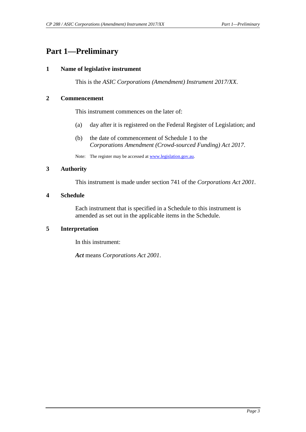### <span id="page-2-1"></span><span id="page-2-0"></span>**Part 1—Preliminary**

#### **1 Name of legislative instrument**

This is the *ASIC Corporations (Amendment) Instrument 2017/XX*.

#### <span id="page-2-2"></span>**2 Commencement**

This instrument commences on the later of:

- (a) day after it is registered on the Federal Register of Legislation; and
- (b) the date of commencement of Schedule 1 to the *Corporations Amendment (Crowd-sourced Funding) Act 2017*.

Note: The register may be accessed a[t www.legislation.gov.au.](http://www.legislation.gov.au/)

#### <span id="page-2-3"></span>**3 Authority**

This instrument is made under section 741 of the *Corporations Act 2001*.

#### <span id="page-2-4"></span>**4 Schedule**

Each instrument that is specified in a Schedule to this instrument is amended as set out in the applicable items in the Schedule.

#### <span id="page-2-5"></span>**5 Interpretation**

In this instrument:

*Act* means *Corporations Act 2001*.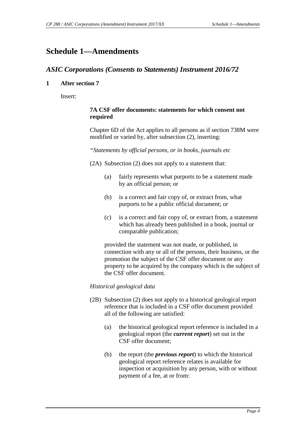## <span id="page-3-1"></span><span id="page-3-0"></span>**Schedule 1—Amendments**

#### *ASIC Corporations (Consents to Statements) Instrument 2016/72*

#### **1 After section 7**

Insert:

#### **7A CSF offer documents: statements for which consent not required**

Chapter 6D of the Act applies to all persons as if section 738M were modified or varied by, after subsection (2), inserting:

#### *"Statements by official persons, or in books, journals etc*

(2A) Subsection (2) does not apply to a statement that:

- (a) fairly represents what purports to be a statement made by an official person; or
- (b) is a correct and fair copy of, or extract from, what purports to be a public official document; or
- (c) is a correct and fair copy of, or extract from, a statement which has already been published in a book, journal or comparable publication;

provided the statement was not made, or published, in connection with any or all of the persons, their business, or the promotion the subject of the CSF offer document or any property to be acquired by the company which is the subject of the CSF offer document.

#### *Historical geological data*

- (2B) Subsection (2) does not apply to a historical geological report reference that is included in a CSF offer document provided all of the following are satisfied:
	- (a) the historical geological report reference is included in a geological report (the *current report*) set out in the CSF offer document;
	- (b) the report (the *previous report*) to which the historical geological report reference relates is available for inspection or acquisition by any person, with or without payment of a fee, at or from: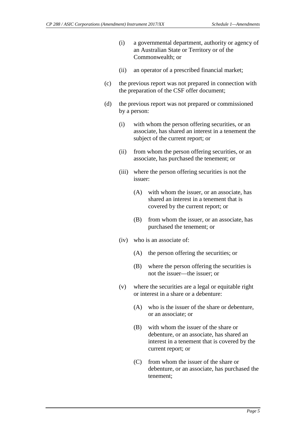- (i) a governmental department, authority or agency of an Australian State or Territory or of the Commonwealth; or
- (ii) an operator of a prescribed financial market;
- (c) the previous report was not prepared in connection with the preparation of the CSF offer document;
- (d) the previous report was not prepared or commissioned by a person:
	- (i) with whom the person offering securities, or an associate, has shared an interest in a tenement the subject of the current report; or
	- (ii) from whom the person offering securities, or an associate, has purchased the tenement; or
	- (iii) where the person offering securities is not the issuer:
		- (A) with whom the issuer, or an associate, has shared an interest in a tenement that is covered by the current report; or
		- (B) from whom the issuer, or an associate, has purchased the tenement; or
	- (iv) who is an associate of:
		- (A) the person offering the securities; or
		- (B) where the person offering the securities is not the issuer—the issuer; or
	- (v) where the securities are a legal or equitable right or interest in a share or a debenture:
		- (A) who is the issuer of the share or debenture, or an associate; or
		- (B) with whom the issuer of the share or debenture, or an associate, has shared an interest in a tenement that is covered by the current report; or
		- (C) from whom the issuer of the share or debenture, or an associate, has purchased the tenement;